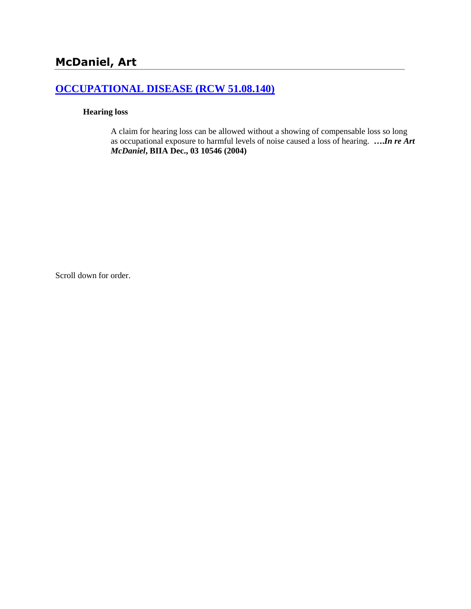# **[OCCUPATIONAL DISEASE \(RCW 51.08.140\)](http://www.biia.wa.gov/SDSubjectIndex.html#OCCUPATIONAL_DISEASE)**

#### **Hearing loss**

A claim for hearing loss can be allowed without a showing of compensable loss so long as occupational exposure to harmful levels of noise caused a loss of hearing. **….***In re Art McDaniel***, BIIA Dec., 03 10546 (2004)**

Scroll down for order.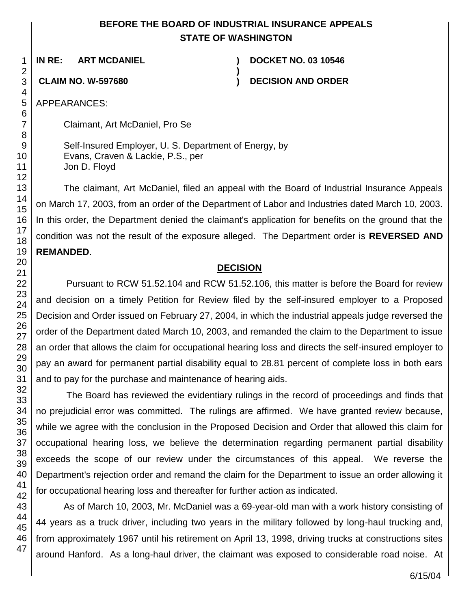# **BEFORE THE BOARD OF INDUSTRIAL INSURANCE APPEALS STATE OF WASHINGTON**

**)**

**IN RE: ART MCDANIEL ) DOCKET NO. 03 10546**

**CLAIM NO. W-597680 ) DECISION AND ORDER**

APPEARANCES:

Claimant, Art McDaniel, Pro Se

Self-Insured Employer, U. S. Department of Energy, by Evans, Craven & Lackie, P.S., per Jon D. Floyd

The claimant, Art McDaniel, filed an appeal with the Board of Industrial Insurance Appeals on March 17, 2003, from an order of the Department of Labor and Industries dated March 10, 2003. In this order, the Department denied the claimant's application for benefits on the ground that the condition was not the result of the exposure alleged. The Department order is **REVERSED AND REMANDED**.

# **DECISION**

Pursuant to RCW 51.52.104 and RCW 51.52.106, this matter is before the Board for review and decision on a timely Petition for Review filed by the self-insured employer to a Proposed Decision and Order issued on February 27, 2004, in which the industrial appeals judge reversed the order of the Department dated March 10, 2003, and remanded the claim to the Department to issue an order that allows the claim for occupational hearing loss and directs the self-insured employer to pay an award for permanent partial disability equal to 28.81 percent of complete loss in both ears and to pay for the purchase and maintenance of hearing aids.

The Board has reviewed the evidentiary rulings in the record of proceedings and finds that no prejudicial error was committed. The rulings are affirmed. We have granted review because, while we agree with the conclusion in the Proposed Decision and Order that allowed this claim for occupational hearing loss, we believe the determination regarding permanent partial disability exceeds the scope of our review under the circumstances of this appeal. We reverse the Department's rejection order and remand the claim for the Department to issue an order allowing it for occupational hearing loss and thereafter for further action as indicated.

As of March 10, 2003, Mr. McDaniel was a 69-year-old man with a work history consisting of 44 years as a truck driver, including two years in the military followed by long-haul trucking and, from approximately 1967 until his retirement on April 13, 1998, driving trucks at constructions sites around Hanford. As a long-haul driver, the claimant was exposed to considerable road noise. At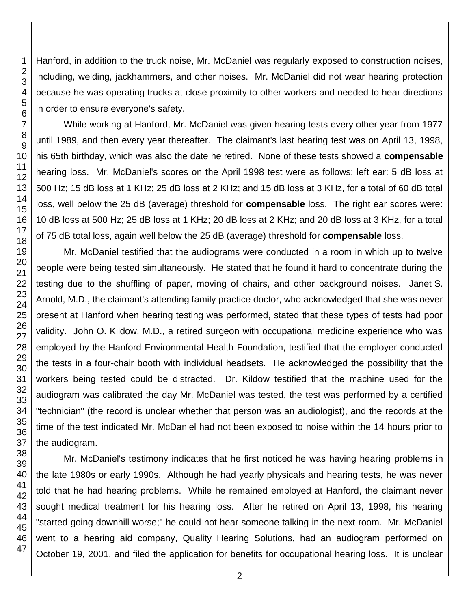Hanford, in addition to the truck noise, Mr. McDaniel was regularly exposed to construction noises, including, welding, jackhammers, and other noises. Mr. McDaniel did not wear hearing protection because he was operating trucks at close proximity to other workers and needed to hear directions in order to ensure everyone's safety.

While working at Hanford, Mr. McDaniel was given hearing tests every other year from 1977 until 1989, and then every year thereafter. The claimant's last hearing test was on April 13, 1998, his 65th birthday, which was also the date he retired. None of these tests showed a **compensable** hearing loss. Mr. McDaniel's scores on the April 1998 test were as follows: left ear: 5 dB loss at 500 Hz; 15 dB loss at 1 KHz; 25 dB loss at 2 KHz; and 15 dB loss at 3 KHz, for a total of 60 dB total loss, well below the 25 dB (average) threshold for **compensable** loss. The right ear scores were: 10 dB loss at 500 Hz; 25 dB loss at 1 KHz; 20 dB loss at 2 KHz; and 20 dB loss at 3 KHz, for a total of 75 dB total loss, again well below the 25 dB (average) threshold for **compensable** loss.

Mr. McDaniel testified that the audiograms were conducted in a room in which up to twelve people were being tested simultaneously. He stated that he found it hard to concentrate during the testing due to the shuffling of paper, moving of chairs, and other background noises. Janet S. Arnold, M.D., the claimant's attending family practice doctor, who acknowledged that she was never present at Hanford when hearing testing was performed, stated that these types of tests had poor validity. John O. Kildow, M.D., a retired surgeon with occupational medicine experience who was employed by the Hanford Environmental Health Foundation, testified that the employer conducted the tests in a four-chair booth with individual headsets. He acknowledged the possibility that the workers being tested could be distracted. Dr. Kildow testified that the machine used for the audiogram was calibrated the day Mr. McDaniel was tested, the test was performed by a certified "technician" (the record is unclear whether that person was an audiologist), and the records at the time of the test indicated Mr. McDaniel had not been exposed to noise within the 14 hours prior to the audiogram.

Mr. McDaniel's testimony indicates that he first noticed he was having hearing problems in the late 1980s or early 1990s. Although he had yearly physicals and hearing tests, he was never told that he had hearing problems. While he remained employed at Hanford, the claimant never sought medical treatment for his hearing loss. After he retired on April 13, 1998, his hearing "started going downhill worse;" he could not hear someone talking in the next room. Mr. McDaniel went to a hearing aid company, Quality Hearing Solutions, had an audiogram performed on October 19, 2001, and filed the application for benefits for occupational hearing loss. It is unclear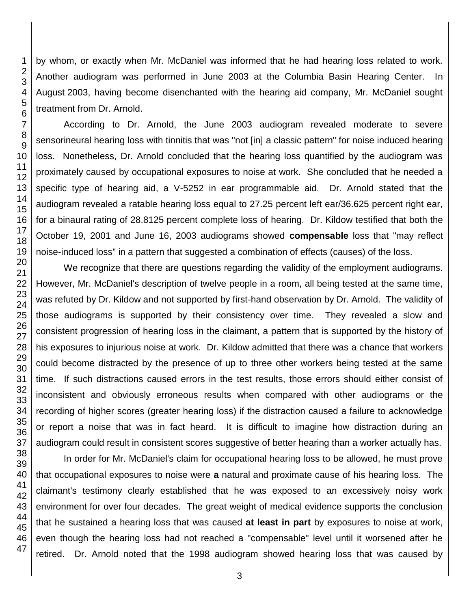by whom, or exactly when Mr. McDaniel was informed that he had hearing loss related to work. Another audiogram was performed in June 2003 at the Columbia Basin Hearing Center. In August 2003, having become disenchanted with the hearing aid company, Mr. McDaniel sought treatment from Dr. Arnold.

According to Dr. Arnold, the June 2003 audiogram revealed moderate to severe sensorineural hearing loss with tinnitis that was "not [in] a classic pattern" for noise induced hearing loss. Nonetheless, Dr. Arnold concluded that the hearing loss quantified by the audiogram was proximately caused by occupational exposures to noise at work. She concluded that he needed a specific type of hearing aid, a V-5252 in ear programmable aid. Dr. Arnold stated that the audiogram revealed a ratable hearing loss equal to 27.25 percent left ear/36.625 percent right ear, for a binaural rating of 28.8125 percent complete loss of hearing. Dr. Kildow testified that both the October 19, 2001 and June 16, 2003 audiograms showed **compensable** loss that "may reflect noise-induced loss" in a pattern that suggested a combination of effects (causes) of the loss.

We recognize that there are questions regarding the validity of the employment audiograms. However, Mr. McDaniel's description of twelve people in a room, all being tested at the same time, was refuted by Dr. Kildow and not supported by first-hand observation by Dr. Arnold. The validity of those audiograms is supported by their consistency over time. They revealed a slow and consistent progression of hearing loss in the claimant, a pattern that is supported by the history of his exposures to injurious noise at work. Dr. Kildow admitted that there was a chance that workers could become distracted by the presence of up to three other workers being tested at the same time. If such distractions caused errors in the test results, those errors should either consist of inconsistent and obviously erroneous results when compared with other audiograms or the recording of higher scores (greater hearing loss) if the distraction caused a failure to acknowledge or report a noise that was in fact heard. It is difficult to imagine how distraction during an audiogram could result in consistent scores suggestive of better hearing than a worker actually has.

In order for Mr. McDaniel's claim for occupational hearing loss to be allowed, he must prove that occupational exposures to noise were **a** natural and proximate cause of his hearing loss. The claimant's testimony clearly established that he was exposed to an excessively noisy work environment for over four decades. The great weight of medical evidence supports the conclusion that he sustained a hearing loss that was caused **at least in part** by exposures to noise at work, even though the hearing loss had not reached a "compensable" level until it worsened after he retired. Dr. Arnold noted that the 1998 audiogram showed hearing loss that was caused by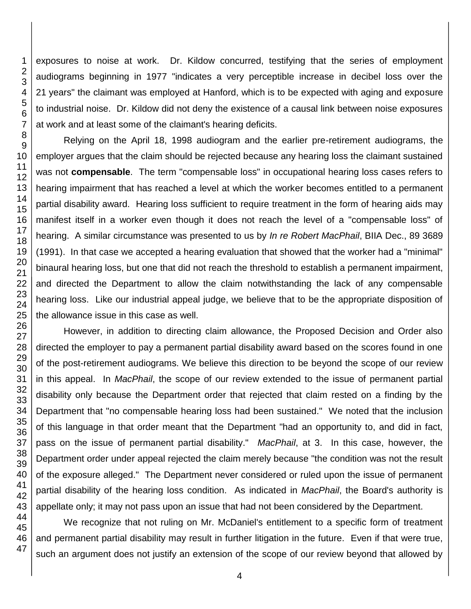exposures to noise at work. Dr. Kildow concurred, testifying that the series of employment audiograms beginning in 1977 "indicates a very perceptible increase in decibel loss over the years" the claimant was employed at Hanford, which is to be expected with aging and exposure to industrial noise. Dr. Kildow did not deny the existence of a causal link between noise exposures at work and at least some of the claimant's hearing deficits.

Relying on the April 18, 1998 audiogram and the earlier pre-retirement audiograms, the employer argues that the claim should be rejected because any hearing loss the claimant sustained was not **compensable**. The term "compensable loss" in occupational hearing loss cases refers to hearing impairment that has reached a level at which the worker becomes entitled to a permanent partial disability award. Hearing loss sufficient to require treatment in the form of hearing aids may manifest itself in a worker even though it does not reach the level of a "compensable loss" of hearing. A similar circumstance was presented to us by *In re Robert MacPhail*, BIIA Dec., 89 3689 (1991). In that case we accepted a hearing evaluation that showed that the worker had a "minimal" binaural hearing loss, but one that did not reach the threshold to establish a permanent impairment, and directed the Department to allow the claim notwithstanding the lack of any compensable hearing loss. Like our industrial appeal judge, we believe that to be the appropriate disposition of the allowance issue in this case as well.

However, in addition to directing claim allowance, the Proposed Decision and Order also directed the employer to pay a permanent partial disability award based on the scores found in one of the post-retirement audiograms. We believe this direction to be beyond the scope of our review in this appeal. In *MacPhail*, the scope of our review extended to the issue of permanent partial disability only because the Department order that rejected that claim rested on a finding by the Department that "no compensable hearing loss had been sustained." We noted that the inclusion of this language in that order meant that the Department "had an opportunity to, and did in fact, pass on the issue of permanent partial disability." *MacPhail*, at 3. In this case, however, the Department order under appeal rejected the claim merely because "the condition was not the result of the exposure alleged." The Department never considered or ruled upon the issue of permanent partial disability of the hearing loss condition. As indicated in *MacPhail*, the Board's authority is appellate only; it may not pass upon an issue that had not been considered by the Department.

We recognize that not ruling on Mr. McDaniel's entitlement to a specific form of treatment and permanent partial disability may result in further litigation in the future. Even if that were true, such an argument does not justify an extension of the scope of our review beyond that allowed by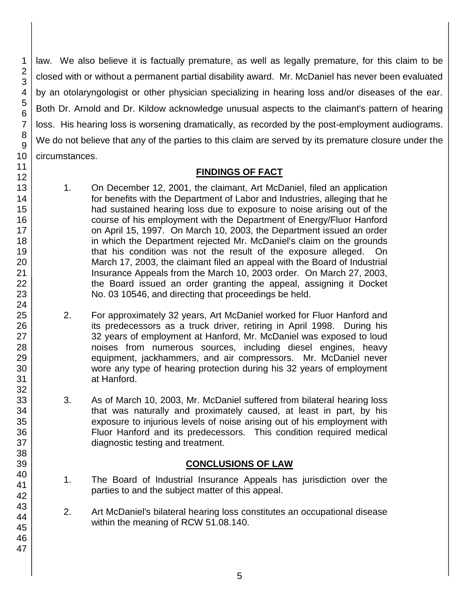law. We also believe it is factually premature, as well as legally premature, for this claim to be closed with or without a permanent partial disability award. Mr. McDaniel has never been evaluated by an otolaryngologist or other physician specializing in hearing loss and/or diseases of the ear. Both Dr. Arnold and Dr. Kildow acknowledge unusual aspects to the claimant's pattern of hearing loss. His hearing loss is worsening dramatically, as recorded by the post-employment audiograms. We do not believe that any of the parties to this claim are served by its premature closure under the circumstances.

#### **FINDINGS OF FACT**

- 1. On December 12, 2001, the claimant, Art McDaniel, filed an application for benefits with the Department of Labor and Industries, alleging that he had sustained hearing loss due to exposure to noise arising out of the course of his employment with the Department of Energy/Fluor Hanford on April 15, 1997. On March 10, 2003, the Department issued an order in which the Department rejected Mr. McDaniel's claim on the grounds that his condition was not the result of the exposure alleged. On March 17, 2003, the claimant filed an appeal with the Board of Industrial Insurance Appeals from the March 10, 2003 order. On March 27, 2003, the Board issued an order granting the appeal, assigning it Docket No. 03 10546, and directing that proceedings be held.
- 2. For approximately 32 years, Art McDaniel worked for Fluor Hanford and its predecessors as a truck driver, retiring in April 1998. During his 32 years of employment at Hanford, Mr. McDaniel was exposed to loud noises from numerous sources, including diesel engines, heavy equipment, jackhammers, and air compressors. Mr. McDaniel never wore any type of hearing protection during his 32 years of employment at Hanford.
- 3. As of March 10, 2003, Mr. McDaniel suffered from bilateral hearing loss that was naturally and proximately caused, at least in part, by his exposure to injurious levels of noise arising out of his employment with Fluor Hanford and its predecessors. This condition required medical diagnostic testing and treatment.

# **CONCLUSIONS OF LAW**

- 1. The Board of Industrial Insurance Appeals has jurisdiction over the parties to and the subject matter of this appeal.
- 2. Art McDaniel's bilateral hearing loss constitutes an occupational disease within the meaning of RCW 51.08.140.